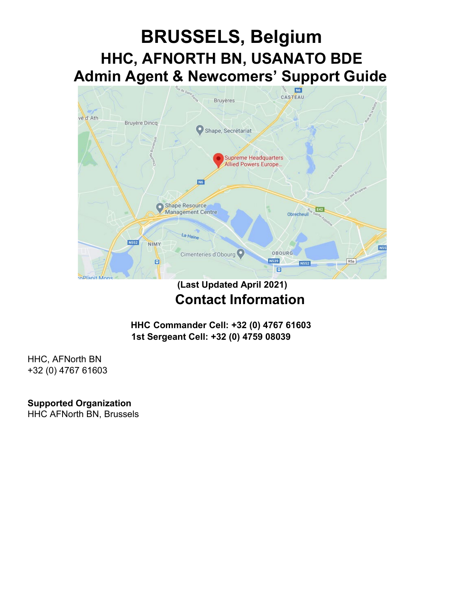# **BRUSSELS, Belgium HHC, AFNORTH BN, USANATO BDE Admin Agent & Newcomers' Support Guide**



## **(Last Updated April 2021) Contact Information**

**HHC Commander Cell: +32 (0) 4767 61603 1st Sergeant Cell: +32 (0) 4759 08039**

HHC, AFNorth BN +32 (0) 4767 61603

**Supported Organization** 

HHC AFNorth BN, Brussels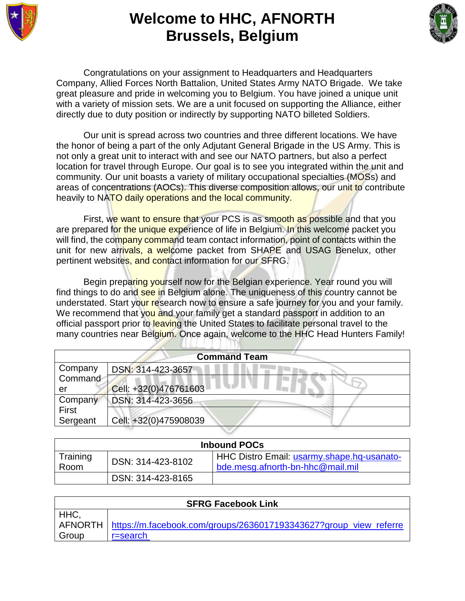

## **Welcome to HHC, AFNORTH Brussels, Belgium**



Congratulations on your assignment to Headquarters and Headquarters Company, Allied Forces North Battalion, United States Army NATO Brigade. We take great pleasure and pride in welcoming you to Belgium. You have joined a unique unit with a variety of mission sets. We are a unit focused on supporting the Alliance, either directly due to duty position or indirectly by supporting NATO billeted Soldiers.

Our unit is spread across two countries and three different locations. We have the honor of being a part of the only Adjutant General Brigade in the US Army. This is not only a great unit to interact with and see our NATO partners, but also a perfect location for travel through Europe. Our goal is to see you integrated within the unit and community. Our unit boasts a variety of military occupational specialties (MOSs) and areas of concentrations (AOCs). This diverse composition allows, our unit to contribute heavily to NATO daily operations and the local community.

First, we want to ensure that your PCS is as smooth as possible and that you are prepared for the unique experience of life in Belgium. In this welcome packet you will find, the company command team contact information, point of contacts within the unit for new arrivals, a welcome packet from SHAPE and USAG Benelux, other pertinent websites, and contact information for our SFRG.

Begin preparing yourself now for the Belgian experience. Year round you will find things to do and see in Belgium alone. The uniqueness of this country cannot be understated. Start your research now to ensure a safe journey for you and your family. We recommend that you and your family get a standard passport in addition to an official passport prior to leaving the United States to facilitate personal travel to the many countries near Belgium. Once again, welcome to the HHC Head Hunters Family!

| <b>Command Team</b> |                       |  |  |
|---------------------|-----------------------|--|--|
| Company             | DSN: 314-423-3657     |  |  |
| Command             |                       |  |  |
| er                  | Cell: +32(0)476761603 |  |  |
| Company             | DSN: 314-423-3656     |  |  |
| First               |                       |  |  |
| Sergeant            | Cell: +32(0)475908039 |  |  |
|                     |                       |  |  |

| <b>Inbound POCs</b> |                   |                                                                                |  |
|---------------------|-------------------|--------------------------------------------------------------------------------|--|
| Training<br>Room    | DSN: 314-423-8102 | HHC Distro Email: usarmy.shape.hq-usanato-<br>bde.mesq.afnorth-bn-hhc@mail.mil |  |
|                     | DSN: 314-423-8165 |                                                                                |  |

| <b>SFRG Facebook Link</b> |                                                                             |  |  |
|---------------------------|-----------------------------------------------------------------------------|--|--|
| HHC,                      |                                                                             |  |  |
|                           | AFNORTH   https://m.facebook.com/groups/2636017193343627?group_view_referre |  |  |
| Group                     | r=search                                                                    |  |  |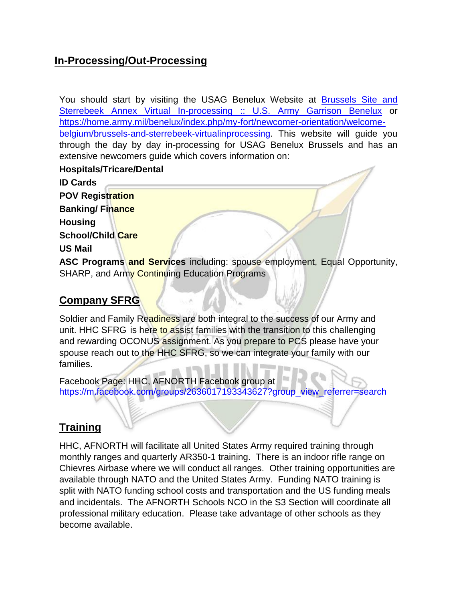#### **In-Processing/Out-Processing**

You should start by visiting the USAG Benelux Website at **Brussels Site and** [Sterrebeek Annex Virtual In-processing :: U.S. Army Garrison Benelux](https://home.army.mil/benelux/index.php/my-fort/newcomer-orientation/welcome-belgium/brussels-and-sterrebeek-virtualinprocessing) or [https://home.army.mil/benelux/index.php/my-fort/newcomer-orientation/welcome](https://home.army.mil/benelux/index.php/my-fort/newcomer-orientation/welcome-belgium/brussels-and-sterrebeek-virtualinprocessing)[belgium/brussels-and-sterrebeek-virtualinprocessing.](https://home.army.mil/benelux/index.php/my-fort/newcomer-orientation/welcome-belgium/brussels-and-sterrebeek-virtualinprocessing) This website will guide you through the day by day in-processing for USAG Benelux Brussels and has an extensive newcomers guide which covers information on:

**Hospitals/Tricare/Dental ID Cards POV Registration Banking/ Finance Housing School/Child Care US Mail ASC Programs and Services** including: spouse employment, Equal Opportunity,

SHARP, and Army Continuing Education Programs

#### **Company SFRG**

Soldier and Family Readiness are both integral to the success of our Army and unit. HHC SFRG is here to assist families with the transition to this challenging and rewarding OCONUS assignment. As you prepare to PCS please have your spouse reach out to the HHC SFRG, so we can integrate your family with our families.

Facebook Page: HHC, AFNORTH Facebook group at [https://m.facebook.com/groups/2636017193343627?group\\_view\\_referrer=search](https://m.facebook.com/groups/2636017193343627?group_view_referrer=search )

#### **Training**

HHC, AFNORTH will facilitate all United States Army required training through monthly ranges and quarterly AR350-1 training. There is an indoor rifle range on Chievres Airbase where we will conduct all ranges. Other training opportunities are available through NATO and the United States Army. Funding NATO training is split with NATO funding school costs and transportation and the US funding meals and incidentals. The AFNORTH Schools NCO in the S3 Section will coordinate all professional military education. Please take advantage of other schools as they become available.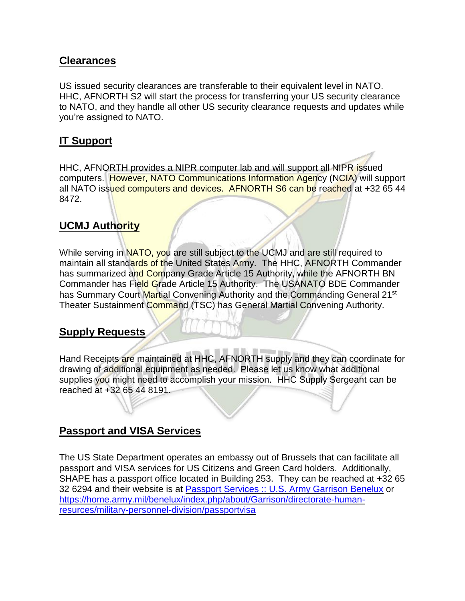#### **Clearances**

US issued security clearances are transferable to their equivalent level in NATO. HHC, AFNORTH S2 will start the process for transferring your US security clearance to NATO, and they handle all other US security clearance requests and updates while you're assigned to NATO.

#### **IT Support**

HHC, AFNORTH provides a NIPR computer lab and will support all NIPR issued computers. However, NATO Communications Information Agency (NCIA) will support all NATO issued computers and devices. AFNORTH S6 can be reached at +32 65 44 8472.

#### **UCMJ Authority**

While serving in **NATO**, you are still subject to the UCMJ and are still required to maintain all standards of the United States Army. The HHC, AFNORTH Commander has summarized and Company Grade Article 15 Authority, while the AFNORTH BN Commander has Field Grade Article 15 Authority. The USANATO BDE Commander has Summary Court Martial Convening Authority and the Commanding General 21<sup>st</sup> Theater Sustainment Command (TSC) has General Martial Convening Authority.

#### **Supply Requests**

Hand Receipts are maintained at HHC, AFNORTH supply and they can coordinate for drawing of additional equipment as needed. Please let us know what additional supplies you might need to accomplish your mission. HHC Supply Sergeant can be reached at +32 65 44 8191.

#### **Passport and VISA Services**

The US State Department operates an embassy out of Brussels that can facilitate all passport and VISA services for US Citizens and Green Card holders. Additionally, SHAPE has a passport office located in Building 253. They can be reached at +32 65 32 6294 and their website is at [Passport Services :: U.S. Army Garrison Benelux](https://home.army.mil/benelux/index.php/about/Garrison/directorate-human-resources/military-personnel-division/passportvisa) or [https://home.army.mil/benelux/index.php/about/Garrison/directorate-human](https://home.army.mil/benelux/index.php/about/Garrison/directorate-human-resurces/military-personnel-division/passportvisa)[resurces/military-personnel-division/passportvisa](https://home.army.mil/benelux/index.php/about/Garrison/directorate-human-resurces/military-personnel-division/passportvisa)